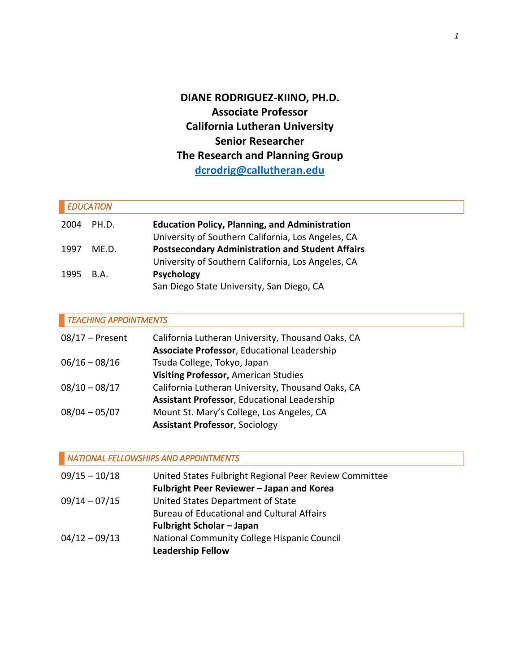**DIANE RODRIGUEZ-KIINO, PH.D. Associate Professor California Lutheran University Senior Researcher The Research and Planning Group [dcrodrig@callutheran.edu](mailto:dcrodrig@callutheran.edu)**

| <b>EDUCATION</b> |       |                                                         |  |  |
|------------------|-------|---------------------------------------------------------|--|--|
| 2004             | PH.D. | <b>Education Policy, Planning, and Administration</b>   |  |  |
|                  |       | University of Southern California, Los Angeles, CA      |  |  |
| 1997             | ME.D. | <b>Postsecondary Administration and Student Affairs</b> |  |  |
|                  |       | University of Southern California, Los Angeles, CA      |  |  |
| 1995             | B.A.  | <b>Psychology</b>                                       |  |  |
|                  |       | San Diego State University, San Diego, CA               |  |  |

# *TEACHING APPOINTMENTS*

| $08/17$ – Present | California Lutheran University, Thousand Oaks, CA  |
|-------------------|----------------------------------------------------|
|                   | Associate Professor, Educational Leadership        |
| $06/16 - 08/16$   | Tsuda College, Tokyo, Japan                        |
|                   | Visiting Professor, American Studies               |
| $08/10 - 08/17$   | California Lutheran University, Thousand Oaks, CA  |
|                   | <b>Assistant Professor, Educational Leadership</b> |
| $08/04 - 05/07$   | Mount St. Mary's College, Los Angeles, CA          |
|                   | <b>Assistant Professor, Sociology</b>              |

# *NATIONAL FELLOWSHIPS AND APPOINTMENTS*

| $09/15 - 10/18$ | United States Fulbright Regional Peer Review Committee |
|-----------------|--------------------------------------------------------|
|                 | Fulbright Peer Reviewer - Japan and Korea              |
| $09/14 - 07/15$ | United States Department of State                      |
|                 | <b>Bureau of Educational and Cultural Affairs</b>      |
|                 | <b>Fulbright Scholar - Japan</b>                       |
| $04/12 - 09/13$ | National Community College Hispanic Council            |
|                 | <b>Leadership Fellow</b>                               |
|                 |                                                        |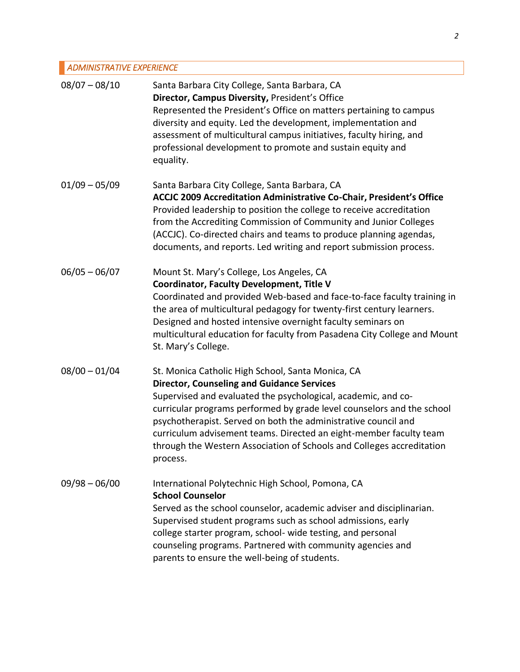# *ADMINISTRATIVE EXPERIENCE*

| $08/07 - 08/10$ | Santa Barbara City College, Santa Barbara, CA<br>Director, Campus Diversity, President's Office<br>Represented the President's Office on matters pertaining to campus<br>diversity and equity. Led the development, implementation and<br>assessment of multicultural campus initiatives, faculty hiring, and<br>professional development to promote and sustain equity and<br>equality.                                                                                       |
|-----------------|--------------------------------------------------------------------------------------------------------------------------------------------------------------------------------------------------------------------------------------------------------------------------------------------------------------------------------------------------------------------------------------------------------------------------------------------------------------------------------|
| $01/09 - 05/09$ | Santa Barbara City College, Santa Barbara, CA<br>ACCJC 2009 Accreditation Administrative Co-Chair, President's Office<br>Provided leadership to position the college to receive accreditation<br>from the Accrediting Commission of Community and Junior Colleges<br>(ACCJC). Co-directed chairs and teams to produce planning agendas,<br>documents, and reports. Led writing and report submission process.                                                                  |
| $06/05 - 06/07$ | Mount St. Mary's College, Los Angeles, CA<br><b>Coordinator, Faculty Development, Title V</b><br>Coordinated and provided Web-based and face-to-face faculty training in<br>the area of multicultural pedagogy for twenty-first century learners.<br>Designed and hosted intensive overnight faculty seminars on<br>multicultural education for faculty from Pasadena City College and Mount<br>St. Mary's College.                                                            |
| $08/00 - 01/04$ | St. Monica Catholic High School, Santa Monica, CA<br><b>Director, Counseling and Guidance Services</b><br>Supervised and evaluated the psychological, academic, and co-<br>curricular programs performed by grade level counselors and the school<br>psychotherapist. Served on both the administrative council and<br>curriculum advisement teams. Directed an eight-member faculty team<br>through the Western Association of Schools and Colleges accreditation<br>process. |
| $09/98 - 06/00$ | International Polytechnic High School, Pomona, CA<br><b>School Counselor</b><br>Served as the school counselor, academic adviser and disciplinarian.<br>Supervised student programs such as school admissions, early<br>college starter program, school- wide testing, and personal<br>counseling programs. Partnered with community agencies and<br>parents to ensure the well-being of students.                                                                             |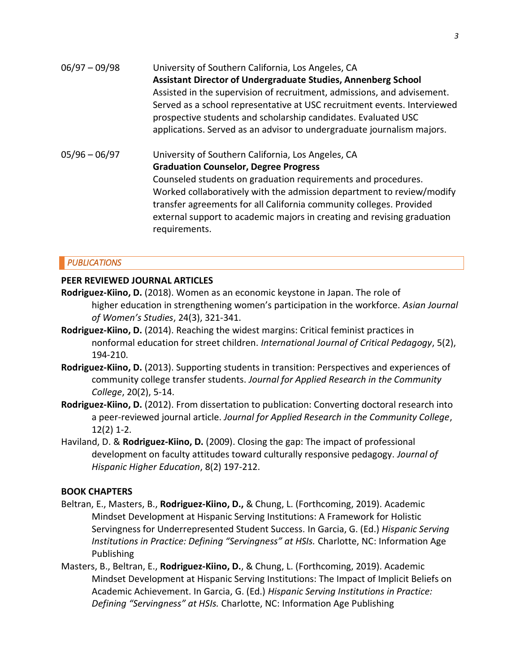| $06/97 - 09/98$ | University of Southern California, Los Angeles, CA<br><b>Assistant Director of Undergraduate Studies, Annenberg School</b><br>Assisted in the supervision of recruitment, admissions, and advisement.<br>Served as a school representative at USC recruitment events. Interviewed<br>prospective students and scholarship candidates. Evaluated USC<br>applications. Served as an advisor to undergraduate journalism majors. |
|-----------------|-------------------------------------------------------------------------------------------------------------------------------------------------------------------------------------------------------------------------------------------------------------------------------------------------------------------------------------------------------------------------------------------------------------------------------|
| $05/96 - 06/97$ | University of Southern California, Los Angeles, CA<br><b>Graduation Counselor, Degree Progress</b><br>Counseled students on graduation requirements and procedures.<br>Worked collaboratively with the admission department to review/modify<br>transfer agreements for all California community colleges. Provided<br>external support to academic majors in creating and revising graduation<br>requirements.               |

# *PUBLICATIONS*

# **PEER REVIEWED JOURNAL ARTICLES**

- **Rodriguez-Kiino, D.** (2018). Women as an economic keystone in Japan. The role of higher education in strengthening women's participation in the workforce. *Asian Journal of Women's Studies*, 24(3), 321-341.
- **Rodriguez-Kiino, D.** (2014). Reaching the widest margins: Critical feminist practices in nonformal education for street children. *International Journal of Critical Pedagogy*, 5(2), 194-210.
- **Rodriguez-Kiino, D.** (2013). Supporting students in transition: Perspectives and experiences of community college transfer students. *Journal for Applied Research in the Community College*, 20(2), 5-14.
- **Rodriguez-Kiino, D.** (2012). From dissertation to publication: Converting doctoral research into a peer-reviewed journal article. *Journal for Applied Research in the Community College*, 12(2) 1-2.
- Haviland, D. & **Rodriguez-Kiino, D.** (2009). Closing the gap: The impact of professional development on faculty attitudes toward culturally responsive pedagogy. *Journal of Hispanic Higher Education*, 8(2) 197-212.

# **BOOK CHAPTERS**

- Beltran, E., Masters, B., **Rodriguez-Kiino, D.,** & Chung, L. (Forthcoming, 2019). Academic Mindset Development at Hispanic Serving Institutions: A Framework for Holistic Servingness for Underrepresented Student Success. In Garcia, G. (Ed.) *Hispanic Serving Institutions in Practice: Defining "Servingness" at HSIs.* Charlotte, NC: Information Age Publishing
- Masters, B., Beltran, E., **Rodriguez-Kiino, D.**, & Chung, L. (Forthcoming, 2019). Academic Mindset Development at Hispanic Serving Institutions: The Impact of Implicit Beliefs on Academic Achievement. In Garcia, G. (Ed.) *Hispanic Serving Institutions in Practice: Defining "Servingness" at HSIs.* Charlotte, NC: Information Age Publishing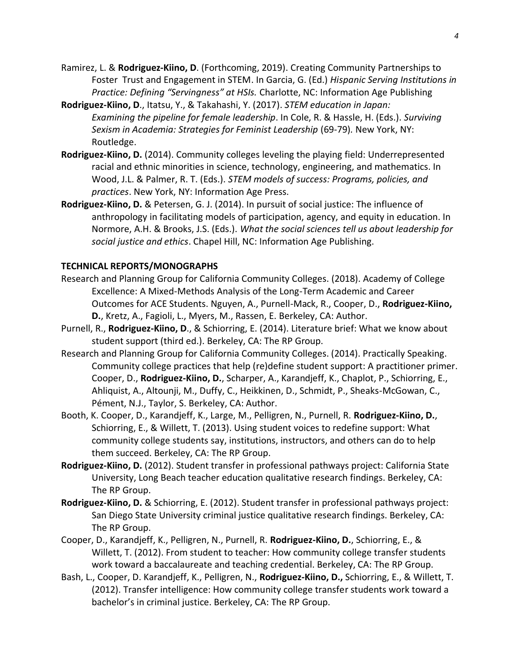- Ramirez, L. & **Rodriguez-Kiino, D**. (Forthcoming, 2019). Creating Community Partnerships to Foster Trust and Engagement in STEM. In Garcia, G. (Ed.) *Hispanic Serving Institutions in Practice: Defining "Servingness" at HSIs.* Charlotte, NC: Information Age Publishing
- **Rodriguez-Kiino, D**., Itatsu, Y., & Takahashi, Y. (2017). *STEM education in Japan: Examining the pipeline for female leadership*. In Cole, R. & Hassle, H. (Eds.). *Surviving Sexism in Academia: Strategies for Feminist Leadership* (69-79)*.* New York, NY: Routledge.
- **Rodriguez-Kiino, D.** (2014). Community colleges leveling the playing field: Underrepresented racial and ethnic minorities in science, technology, engineering, and mathematics. In Wood, J.L. & Palmer, R. T. (Eds.). *STEM models of success: Programs, policies, and practices*. New York, NY: Information Age Press.
- **Rodriguez-Kiino, D.** & Petersen, G. J. (2014). In pursuit of social justice: The influence of anthropology in facilitating models of participation, agency, and equity in education. In Normore, A.H. & Brooks, J.S. (Eds.). *What the social sciences tell us about leadership for social justice and ethics*. Chapel Hill, NC: Information Age Publishing.

## **TECHNICAL REPORTS/MONOGRAPHS**

- Research and Planning Group for California Community Colleges. (2018). Academy of College Excellence: A Mixed-Methods Analysis of the Long-Term Academic and Career Outcomes for ACE Students. Nguyen, A., Purnell-Mack, R., Cooper, D., **Rodriguez-Kiino, D.**, Kretz, A., Fagioli, L., Myers, M., Rassen, E. Berkeley, CA: Author.
- Purnell, R., **Rodriguez-Kiino, D**., & Schiorring, E. (2014). Literature brief: What we know about student support (third ed.). Berkeley, CA: The RP Group.
- Research and Planning Group for California Community Colleges. (2014). Practically Speaking. Community college practices that help (re)define student support: A practitioner primer. Cooper, D., **Rodriguez-Kiino, D.**, Scharper, A., Karandjeff, K., Chaplot, P., Schiorring, E., Ahliquist, A., Altounji, M., Duffy, C., Heikkinen, D., Schmidt, P., Sheaks-McGowan, C., Pément, N.J., Taylor, S. Berkeley, CA: Author.
- Booth, K. Cooper, D., Karandjeff, K., Large, M., Pelligren, N., Purnell, R. **Rodriguez-Kiino, D.**, Schiorring, E., & Willett, T. (2013). Using student voices to redefine support: What community college students say, institutions, instructors, and others can do to help them succeed. Berkeley, CA: The RP Group.
- **Rodriguez-Kiino, D.** (2012). Student transfer in professional pathways project: California State University, Long Beach teacher education qualitative research findings. Berkeley, CA: The RP Group.
- **Rodriguez-Kiino, D.** & Schiorring, E. (2012). Student transfer in professional pathways project: San Diego State University criminal justice qualitative research findings. Berkeley, CA: The RP Group.
- Cooper, D., Karandjeff, K., Pelligren, N., Purnell, R. **Rodriguez-Kiino, D.**, Schiorring, E., & Willett, T. (2012). From student to teacher: How community college transfer students work toward a baccalaureate and teaching credential. Berkeley, CA: The RP Group.
- Bash, L., Cooper, D. Karandjeff, K., Pelligren, N., **Rodriguez-Kiino, D.,** Schiorring, E., & Willett, T. (2012). Transfer intelligence: How community college transfer students work toward a bachelor's in criminal justice. Berkeley, CA: The RP Group.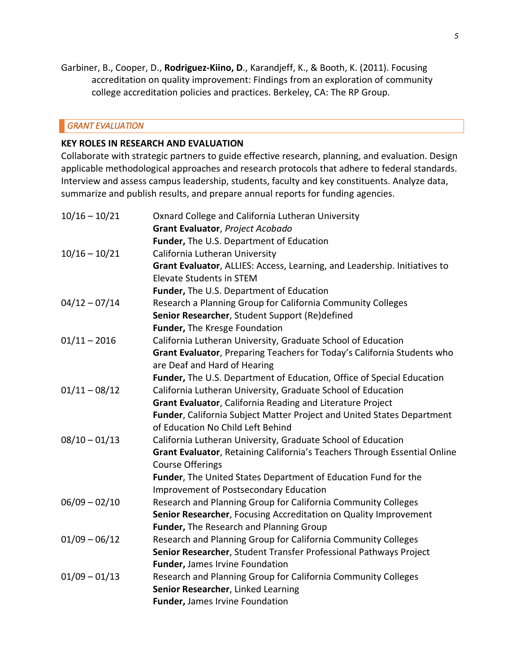Garbiner, B., Cooper, D., **Rodriguez-Kiino, D**., Karandjeff, K., & Booth, K. (2011). Focusing accreditation on quality improvement: Findings from an exploration of community college accreditation policies and practices. Berkeley, CA: The RP Group.

## *GRANT EVALUATION*

## **KEY ROLES IN RESEARCH AND EVALUATION**

Collaborate with strategic partners to guide effective research, planning, and evaluation. Design applicable methodological approaches and research protocols that adhere to federal standards. Interview and assess campus leadership, students, faculty and key constituents. Analyze data, summarize and publish results, and prepare annual reports for funding agencies.

| $10/16 - 10/21$ | Oxnard College and California Lutheran University                                                    |
|-----------------|------------------------------------------------------------------------------------------------------|
|                 | Grant Evaluator, Project Acobado                                                                     |
|                 | Funder, The U.S. Department of Education                                                             |
| $10/16 - 10/21$ | California Lutheran University                                                                       |
|                 | Grant Evaluator, ALLIES: Access, Learning, and Leadership. Initiatives to                            |
|                 | <b>Elevate Students in STEM</b>                                                                      |
|                 | Funder, The U.S. Department of Education                                                             |
| $04/12 - 07/14$ | Research a Planning Group for California Community Colleges                                          |
|                 | Senior Researcher, Student Support (Re)defined                                                       |
|                 | Funder, The Kresge Foundation                                                                        |
| $01/11 - 2016$  | California Lutheran University, Graduate School of Education                                         |
|                 | Grant Evaluator, Preparing Teachers for Today's California Students who                              |
|                 | are Deaf and Hard of Hearing                                                                         |
|                 | Funder, The U.S. Department of Education, Office of Special Education                                |
| $01/11 - 08/12$ | California Lutheran University, Graduate School of Education                                         |
|                 | Grant Evaluator, California Reading and Literature Project                                           |
|                 | Funder, California Subject Matter Project and United States Department                               |
|                 | of Education No Child Left Behind                                                                    |
| $08/10 - 01/13$ | California Lutheran University, Graduate School of Education                                         |
|                 | Grant Evaluator, Retaining California's Teachers Through Essential Online<br><b>Course Offerings</b> |
|                 | Funder, The United States Department of Education Fund for the                                       |
|                 | <b>Improvement of Postsecondary Education</b>                                                        |
| $06/09 - 02/10$ | Research and Planning Group for California Community Colleges                                        |
|                 | Senior Researcher, Focusing Accreditation on Quality Improvement                                     |
|                 | Funder, The Research and Planning Group                                                              |
| $01/09 - 06/12$ | Research and Planning Group for California Community Colleges                                        |
|                 | Senior Researcher, Student Transfer Professional Pathways Project                                    |
|                 | Funder, James Irvine Foundation                                                                      |
| $01/09 - 01/13$ | Research and Planning Group for California Community Colleges                                        |
|                 | Senior Researcher, Linked Learning                                                                   |
|                 | <b>Funder, James Irvine Foundation</b>                                                               |
|                 |                                                                                                      |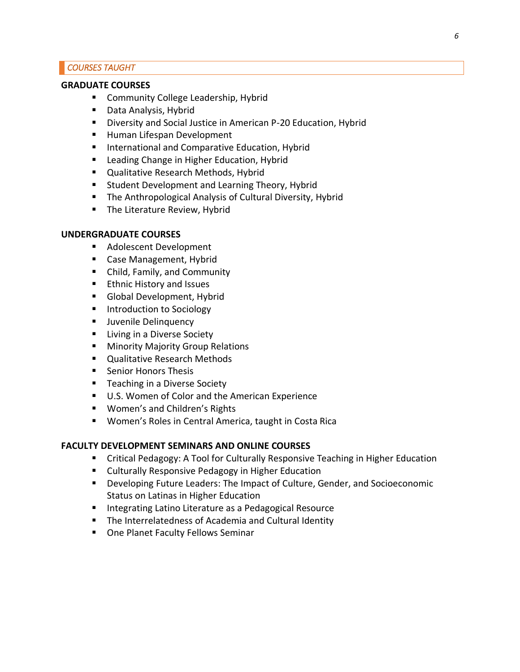## *COURSES TAUGHT*

## **GRADUATE COURSES**

- Community College Leadership, Hybrid
- Data Analysis, Hybrid
- Diversity and Social Justice in American P-20 Education, Hybrid
- Human Lifespan Development
- International and Comparative Education, Hybrid
- Leading Change in Higher Education, Hybrid
- Qualitative Research Methods, Hybrid
- Student Development and Learning Theory, Hybrid
- The Anthropological Analysis of Cultural Diversity, Hybrid
- **The Literature Review, Hybrid**

## **UNDERGRADUATE COURSES**

- Adolescent Development
- Case Management, Hybrid
- Child, Family, and Community
- Ethnic History and Issues
- Global Development, Hybrid
- Introduction to Sociology
- **■** Juvenile Delinquency
- Living in a Diverse Society
- Minority Majority Group Relations
- Qualitative Research Methods
- Senior Honors Thesis
- Teaching in a Diverse Society
- U.S. Women of Color and the American Experience
- Women's and Children's Rights
- Women's Roles in Central America, taught in Costa Rica

## **FACULTY DEVELOPMENT SEMINARS AND ONLINE COURSES**

- **E** Critical Pedagogy: A Tool for Culturally Responsive Teaching in Higher Education
- Culturally Responsive Pedagogy in Higher Education
- Developing Future Leaders: The Impact of Culture, Gender, and Socioeconomic Status on Latinas in Higher Education
- Integrating Latino Literature as a Pedagogical Resource
- The Interrelatedness of Academia and Cultural Identity
- One Planet Faculty Fellows Seminar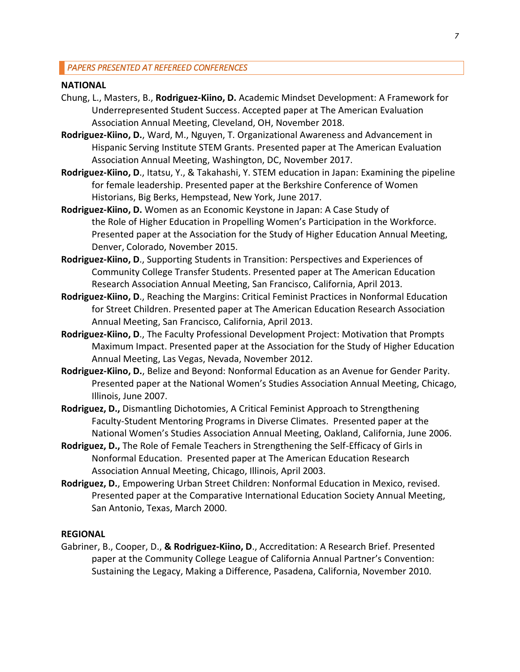#### **NATIONAL**

- Chung, L., Masters, B., **Rodriguez-Kiino, D.** Academic Mindset Development: A Framework for Underrepresented Student Success. Accepted paper at The American Evaluation Association Annual Meeting, Cleveland, OH, November 2018.
- **Rodriguez-Kiino, D.**, Ward, M., Nguyen, T. Organizational Awareness and Advancement in Hispanic Serving Institute STEM Grants. Presented paper at The American Evaluation Association Annual Meeting, Washington, DC, November 2017.
- **Rodriguez-Kiino, D**., Itatsu, Y., & Takahashi, Y. STEM education in Japan: Examining the pipeline for female leadership. Presented paper at the Berkshire Conference of Women Historians, Big Berks, Hempstead, New York, June 2017.
- **Rodriguez-Kiino, D.** Women as an Economic Keystone in Japan: A Case Study of the Role of Higher Education in Propelling Women's Participation in the Workforce. Presented paper at the Association for the Study of Higher Education Annual Meeting, Denver, Colorado, November 2015.
- **Rodriguez-Kiino, D**., Supporting Students in Transition: Perspectives and Experiences of Community College Transfer Students. Presented paper at The American Education Research Association Annual Meeting, San Francisco, California, April 2013.
- **Rodriguez-Kiino, D**., Reaching the Margins: Critical Feminist Practices in Nonformal Education for Street Children. Presented paper at The American Education Research Association Annual Meeting, San Francisco, California, April 2013.
- **Rodriguez-Kiino, D**., The Faculty Professional Development Project: Motivation that Prompts Maximum Impact. Presented paper at the Association for the Study of Higher Education Annual Meeting, Las Vegas, Nevada, November 2012.
- **Rodriguez-Kiino, D.**, Belize and Beyond: Nonformal Education as an Avenue for Gender Parity. Presented paper at the National Women's Studies Association Annual Meeting, Chicago, Illinois, June 2007.
- **Rodriguez, D.,** Dismantling Dichotomies, A Critical Feminist Approach to Strengthening Faculty-Student Mentoring Programs in Diverse Climates. Presented paper at the National Women's Studies Association Annual Meeting, Oakland, California, June 2006.
- **Rodriguez, D.,** The Role of Female Teachers in Strengthening the Self-Efficacy of Girls in Nonformal Education. Presented paper at The American Education Research Association Annual Meeting, Chicago, Illinois, April 2003.
- **Rodriguez, D.**, Empowering Urban Street Children: Nonformal Education in Mexico, revised. Presented paper at the Comparative International Education Society Annual Meeting, San Antonio, Texas, March 2000.

#### **REGIONAL**

Gabriner, B., Cooper, D., **& Rodriguez-Kiino, D**., Accreditation: A Research Brief. Presented paper at the Community College League of California Annual Partner's Convention: Sustaining the Legacy, Making a Difference, Pasadena, California, November 2010.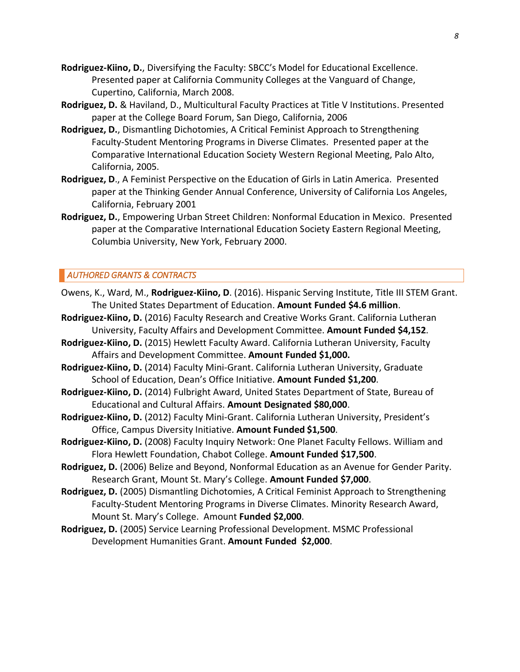- **Rodriguez-Kiino, D.**, Diversifying the Faculty: SBCC's Model for Educational Excellence. Presented paper at California Community Colleges at the Vanguard of Change, Cupertino, California, March 2008.
- **Rodriguez, D.** & Haviland, D., Multicultural Faculty Practices at Title V Institutions. Presented paper at the College Board Forum, San Diego, California, 2006
- **Rodriguez, D.**, Dismantling Dichotomies, A Critical Feminist Approach to Strengthening Faculty-Student Mentoring Programs in Diverse Climates. Presented paper at the Comparative International Education Society Western Regional Meeting, Palo Alto, California, 2005.
- **Rodriguez, D**., A Feminist Perspective on the Education of Girls in Latin America. Presented paper at the Thinking Gender Annual Conference, University of California Los Angeles, California, February 2001
- **Rodriguez, D.**, Empowering Urban Street Children: Nonformal Education in Mexico. Presented paper at the Comparative International Education Society Eastern Regional Meeting, Columbia University, New York, February 2000.

## *AUTHORED GRANTS & CONTRACTS*

- Owens, K., Ward, M., **Rodriguez-Kiino, D**. (2016). Hispanic Serving Institute, Title III STEM Grant. The United States Department of Education. **Amount Funded \$4.6 million**.
- **Rodriguez-Kiino, D.** (2016) Faculty Research and Creative Works Grant. California Lutheran University, Faculty Affairs and Development Committee. **Amount Funded \$4,152**.
- **Rodriguez-Kiino, D.** (2015) Hewlett Faculty Award. California Lutheran University, Faculty Affairs and Development Committee. **Amount Funded \$1,000.**
- **Rodriguez-Kiino, D.** (2014) Faculty Mini-Grant. California Lutheran University, Graduate School of Education, Dean's Office Initiative. **Amount Funded \$1,200**.
- **Rodriguez-Kiino, D.** (2014) Fulbright Award, United States Department of State, Bureau of Educational and Cultural Affairs. **Amount Designated \$80,000**.
- **Rodriguez-Kiino, D.** (2012) Faculty Mini-Grant. California Lutheran University, President's Office, Campus Diversity Initiative. **Amount Funded \$1,500**.
- **Rodriguez-Kiino, D.** (2008) Faculty Inquiry Network: One Planet Faculty Fellows. William and Flora Hewlett Foundation, Chabot College. **Amount Funded \$17,500**.
- **Rodriguez, D.** (2006) Belize and Beyond, Nonformal Education as an Avenue for Gender Parity. Research Grant, Mount St. Mary's College. **Amount Funded \$7,000**.
- **Rodriguez, D.** (2005) Dismantling Dichotomies, A Critical Feminist Approach to Strengthening Faculty-Student Mentoring Programs in Diverse Climates. Minority Research Award, Mount St. Mary's College. Amount **Funded \$2,000**.
- **Rodriguez, D.** (2005) Service Learning Professional Development. MSMC Professional Development Humanities Grant. **Amount Funded \$2,000**.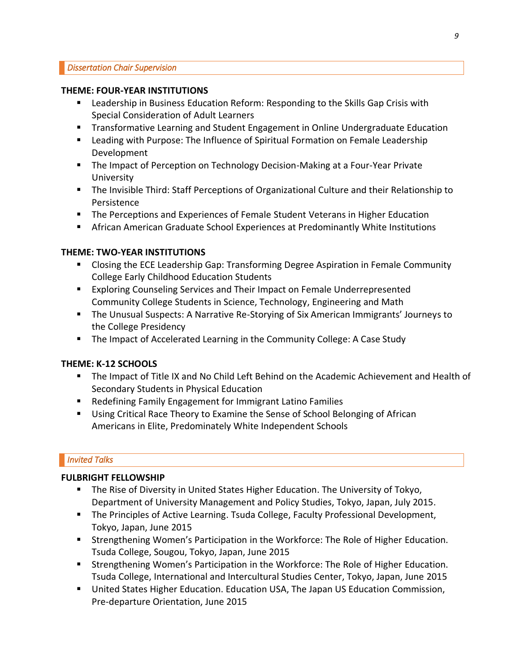## **THEME: FOUR-YEAR INSTITUTIONS**

- **EXECT** Leadership in Business Education Reform: Responding to the Skills Gap Crisis with Special Consideration of Adult Learners
- **E** Transformative Learning and Student Engagement in Online Undergraduate Education
- Leading with Purpose: The Influence of Spiritual Formation on Female Leadership Development
- The Impact of Perception on Technology Decision-Making at a Four-Year Private University
- The Invisible Third: Staff Perceptions of Organizational Culture and their Relationship to Persistence
- **The Perceptions and Experiences of Female Student Veterans in Higher Education**
- **E** African American Graduate School Experiences at Predominantly White Institutions

# **THEME: TWO-YEAR INSTITUTIONS**

- Closing the ECE Leadership Gap: Transforming Degree Aspiration in Female Community College Early Childhood Education Students
- Exploring Counseling Services and Their Impact on Female Underrepresented Community College Students in Science, Technology, Engineering and Math
- The Unusual Suspects: A Narrative Re-Storying of Six American Immigrants' Journeys to the College Presidency
- The Impact of Accelerated Learning in the Community College: A Case Study

# **THEME: K-12 SCHOOLS**

- The Impact of Title IX and No Child Left Behind on the Academic Achievement and Health of Secondary Students in Physical Education
- Redefining Family Engagement for Immigrant Latino Families
- Using Critical Race Theory to Examine the Sense of School Belonging of African Americans in Elite, Predominately White Independent Schools

# *Invited Talks*

# **FULBRIGHT FELLOWSHIP**

- **The Rise of Diversity in United States Higher Education. The University of Tokyo,** Department of University Management and Policy Studies, Tokyo, Japan, July 2015.
- The Principles of Active Learning. Tsuda College, Faculty Professional Development, Tokyo, Japan, June 2015
- **EXECT** Strengthening Women's Participation in the Workforce: The Role of Higher Education. Tsuda College, Sougou, Tokyo, Japan, June 2015
- **EXTERGHERIM** Strengthening Women's Participation in the Workforce: The Role of Higher Education. Tsuda College, International and Intercultural Studies Center, Tokyo, Japan, June 2015
- **■** United States Higher Education. Education USA, The Japan US Education Commission, Pre-departure Orientation, June 2015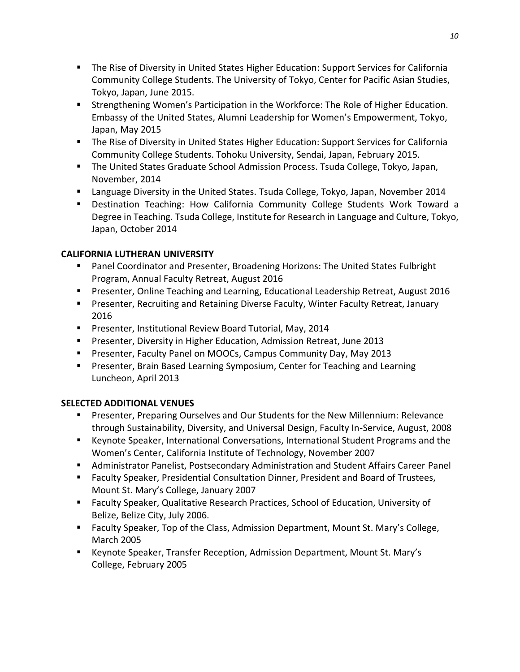- The Rise of Diversity in United States Higher Education: Support Services for California Community College Students. The University of Tokyo, Center for Pacific Asian Studies, Tokyo, Japan, June 2015.
- **EXECT** Strengthening Women's Participation in the Workforce: The Role of Higher Education. Embassy of the United States, Alumni Leadership for Women's Empowerment, Tokyo, Japan, May 2015
- The Rise of Diversity in United States Higher Education: Support Services for California Community College Students. Tohoku University, Sendai, Japan, February 2015.
- **The United States Graduate School Admission Process. Tsuda College, Tokyo, Japan,** November, 2014
- Language Diversity in the United States. Tsuda College, Tokyo, Japan, November 2014
- Destination Teaching: How California Community College Students Work Toward a Degree in Teaching. Tsuda College, Institute for Research in Language and Culture, Tokyo, Japan, October 2014

# **CALIFORNIA LUTHERAN UNIVERSITY**

- Panel Coordinator and Presenter, Broadening Horizons: The United States Fulbright Program, Annual Faculty Retreat, August 2016
- Presenter, Online Teaching and Learning, Educational Leadership Retreat, August 2016
- Presenter, Recruiting and Retaining Diverse Faculty, Winter Faculty Retreat, January 2016
- Presenter, Institutional Review Board Tutorial, May, 2014
- Presenter, Diversity in Higher Education, Admission Retreat, June 2013
- Presenter, Faculty Panel on MOOCs, Campus Community Day, May 2013
- **Presenter, Brain Based Learning Symposium, Center for Teaching and Learning** Luncheon, April 2013

# **SELECTED ADDITIONAL VENUES**

- Presenter, Preparing Ourselves and Our Students for the New Millennium: Relevance through Sustainability, Diversity, and Universal Design, Faculty In-Service, August, 2008
- Keynote Speaker, International Conversations, International Student Programs and the Women's Center, California Institute of Technology, November 2007
- Administrator Panelist, Postsecondary Administration and Student Affairs Career Panel
- Faculty Speaker, Presidential Consultation Dinner, President and Board of Trustees, Mount St. Mary's College, January 2007
- Faculty Speaker, Qualitative Research Practices, School of Education, University of Belize, Belize City, July 2006.
- Faculty Speaker, Top of the Class, Admission Department, Mount St. Mary's College, March 2005
- Keynote Speaker, Transfer Reception, Admission Department, Mount St. Mary's College, February 2005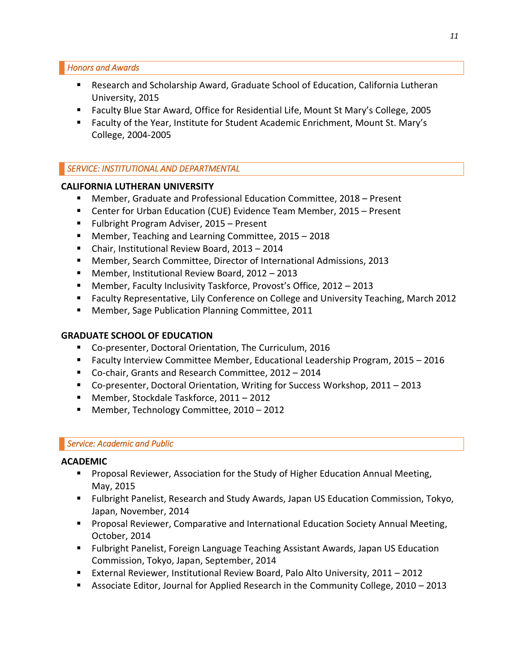*Honors and Awards* 

- Research and Scholarship Award, Graduate School of Education, California Lutheran University, 2015
- Faculty Blue Star Award, Office for Residential Life, Mount St Mary's College, 2005
- Faculty of the Year, Institute for Student Academic Enrichment, Mount St. Mary's College, 2004-2005

# *SERVICE: INSTITUTIONAL AND DEPARTMENTAL*

## **CALIFORNIA LUTHERAN UNIVERSITY**

- Member, Graduate and Professional Education Committee, 2018 Present
- Center for Urban Education (CUE) Evidence Team Member, 2015 Present
- Fulbright Program Adviser, 2015 Present
- Member, Teaching and Learning Committee, 2015 2018
- Chair, Institutional Review Board, 2013 2014
- Member, Search Committee, Director of International Admissions, 2013
- Member, Institutional Review Board, 2012 2013
- Member, Faculty Inclusivity Taskforce, Provost's Office, 2012 2013
- Faculty Representative, Lily Conference on College and University Teaching, March 2012
- Member, Sage Publication Planning Committee, 2011

# **GRADUATE SCHOOL OF EDUCATION**

- Co-presenter, Doctoral Orientation, The Curriculum, 2016
- Faculty Interview Committee Member, Educational Leadership Program, 2015 2016
- Co-chair, Grants and Research Committee, 2012 2014
- Co-presenter, Doctoral Orientation, Writing for Success Workshop, 2011 2013
- Member, Stockdale Taskforce, 2011 2012
- Member, Technology Committee, 2010 2012

## *Service: Academic and Public*

## **ACADEMIC**

- Proposal Reviewer, Association for the Study of Higher Education Annual Meeting, May, 2015
- Fulbright Panelist, Research and Study Awards, Japan US Education Commission, Tokyo, Japan, November, 2014
- **Proposal Reviewer, Comparative and International Education Society Annual Meeting,** October, 2014
- Fulbright Panelist, Foreign Language Teaching Assistant Awards, Japan US Education Commission, Tokyo, Japan, September, 2014
- External Reviewer, Institutional Review Board, Palo Alto University, 2011 2012
- Associate Editor, Journal for Applied Research in the Community College, 2010 2013